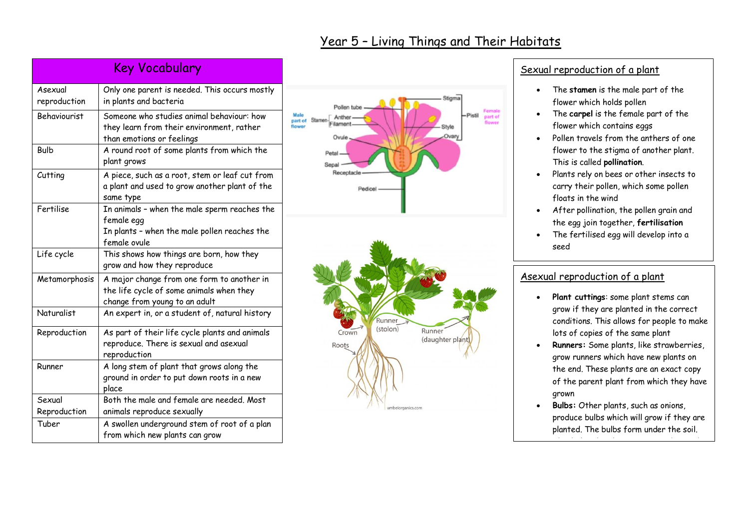| Year 5 - Living Things and Their Habitats |
|-------------------------------------------|
|-------------------------------------------|

| <b>Key Vocabulary</b>   |                                                                                                                            |  |
|-------------------------|----------------------------------------------------------------------------------------------------------------------------|--|
| Asexual<br>reproduction | Only one parent is needed. This occurs mostly<br>in plants and bacteria                                                    |  |
| <b>Behaviourist</b>     | Someone who studies animal behaviour: how<br>they learn from their environment, rather<br>than emotions or feelings        |  |
| <b>Bulb</b>             | A round root of some plants from which the<br>plant grows                                                                  |  |
| Cutting                 | A piece, such as a root, stem or leaf cut from<br>a plant and used to grow another plant of the<br>same type               |  |
| Fertilise               | In animals - when the male sperm reaches the<br>female egg<br>In plants - when the male pollen reaches the<br>female ovule |  |
| Life cycle              | This shows how things are born, how they<br>grow and how they reproduce                                                    |  |
| Metamorphosis           | A major change from one form to another in<br>the life cycle of some animals when they<br>change from young to an adult    |  |
| <b>Naturalist</b>       | An expert in, or a student of, natural history                                                                             |  |
| Reproduction            | As part of their life cycle plants and animals<br>reproduce. There is sexual and asexual<br>reproduction                   |  |
| Runner                  | A long stem of plant that grows along the<br>ground in order to put down roots in a new<br>place                           |  |
| Sexual                  | Both the male and female are needed. Most                                                                                  |  |
| Reproduction            | animals reproduce sexually                                                                                                 |  |
| Tuber                   | A swollen underground stem of root of a plan<br>from which new plants can grow                                             |  |



## Sexual reproduction of a plant

- The **stamen** is the male part of the flower which holds pollen
- The **carpel** is the female part of the flower which contains eggs
- Pollen travels from the anthers of one flower to the stigma of another plant. This is called **pollination**.
- Plants rely on bees or other insects to carry their pollen, which some pollen floats in the wind
- After pollination, the pollen grain and the egg join together, **fertilisation**
- The fertilised egg will develop into a seed

## Asexual reproduction of a plant

- **Plant cuttings**: some plant stems can grow if they are planted in the correct conditions. This allows for people to make lots of copies of the same plant
- **Runners:** Some plants, like strawberries, grow runners which have new plants on the end. These plants are an exact copy of the parent plant from which they have grown
- **Bulbs:** Other plants, such as onions, produce bulbs which will grow if they are planted. The bulbs form under the soil. This help state the plant to survive during the plant to survive during the plant to survive during the plant